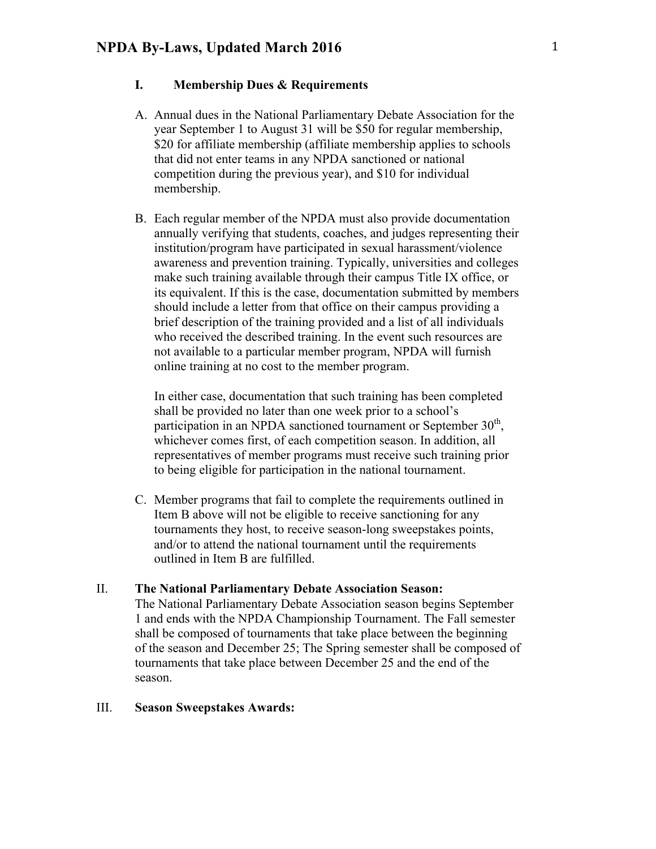# **I. Membership Dues & Requirements**

- A. Annual dues in the National Parliamentary Debate Association for the year September 1 to August 31 will be \$50 for regular membership, \$20 for affiliate membership (affiliate membership applies to schools that did not enter teams in any NPDA sanctioned or national competition during the previous year), and \$10 for individual membership.
- B. Each regular member of the NPDA must also provide documentation annually verifying that students, coaches, and judges representing their institution/program have participated in sexual harassment/violence awareness and prevention training. Typically, universities and colleges make such training available through their campus Title IX office, or its equivalent. If this is the case, documentation submitted by members should include a letter from that office on their campus providing a brief description of the training provided and a list of all individuals who received the described training. In the event such resources are not available to a particular member program, NPDA will furnish online training at no cost to the member program.

In either case, documentation that such training has been completed shall be provided no later than one week prior to a school's participation in an NPDA sanctioned tournament or September  $30<sup>th</sup>$ , whichever comes first, of each competition season. In addition, all representatives of member programs must receive such training prior to being eligible for participation in the national tournament.

C. Member programs that fail to complete the requirements outlined in Item B above will not be eligible to receive sanctioning for any tournaments they host, to receive season-long sweepstakes points, and/or to attend the national tournament until the requirements outlined in Item B are fulfilled.

#### II. **The National Parliamentary Debate Association Season:**

The National Parliamentary Debate Association season begins September 1 and ends with the NPDA Championship Tournament. The Fall semester shall be composed of tournaments that take place between the beginning of the season and December 25; The Spring semester shall be composed of tournaments that take place between December 25 and the end of the season.

## III. **Season Sweepstakes Awards:**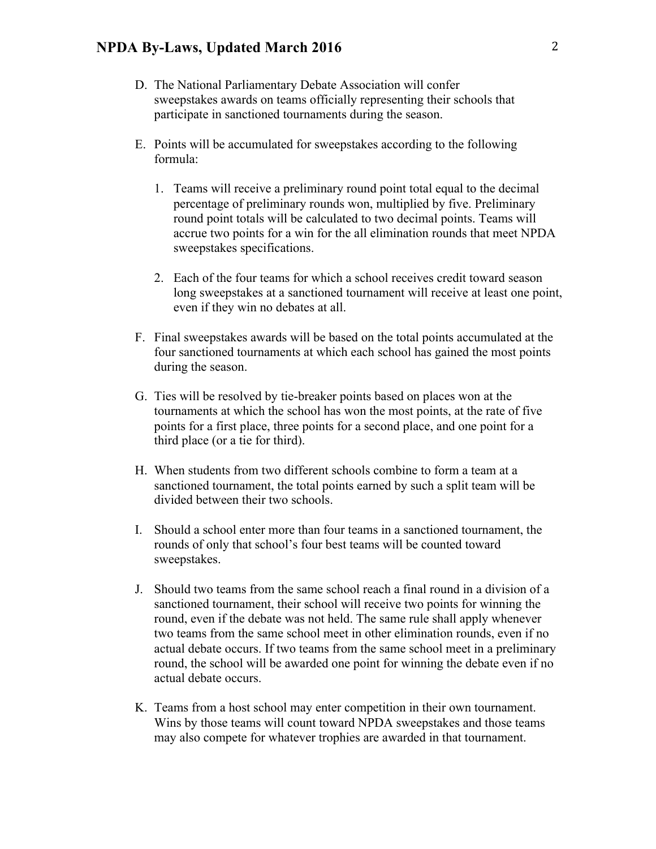- D. The National Parliamentary Debate Association will confer sweepstakes awards on teams officially representing their schools that participate in sanctioned tournaments during the season.
- E. Points will be accumulated for sweepstakes according to the following formula:
	- 1. Teams will receive a preliminary round point total equal to the decimal percentage of preliminary rounds won, multiplied by five. Preliminary round point totals will be calculated to two decimal points. Teams will accrue two points for a win for the all elimination rounds that meet NPDA sweepstakes specifications.
	- 2. Each of the four teams for which a school receives credit toward season long sweepstakes at a sanctioned tournament will receive at least one point, even if they win no debates at all.
- F. Final sweepstakes awards will be based on the total points accumulated at the four sanctioned tournaments at which each school has gained the most points during the season.
- G. Ties will be resolved by tie-breaker points based on places won at the tournaments at which the school has won the most points, at the rate of five points for a first place, three points for a second place, and one point for a third place (or a tie for third).
- H. When students from two different schools combine to form a team at a sanctioned tournament, the total points earned by such a split team will be divided between their two schools.
- I. Should a school enter more than four teams in a sanctioned tournament, the rounds of only that school's four best teams will be counted toward sweepstakes.
- J. Should two teams from the same school reach a final round in a division of a sanctioned tournament, their school will receive two points for winning the round, even if the debate was not held. The same rule shall apply whenever two teams from the same school meet in other elimination rounds, even if no actual debate occurs. If two teams from the same school meet in a preliminary round, the school will be awarded one point for winning the debate even if no actual debate occurs.
- K. Teams from a host school may enter competition in their own tournament. Wins by those teams will count toward NPDA sweepstakes and those teams may also compete for whatever trophies are awarded in that tournament.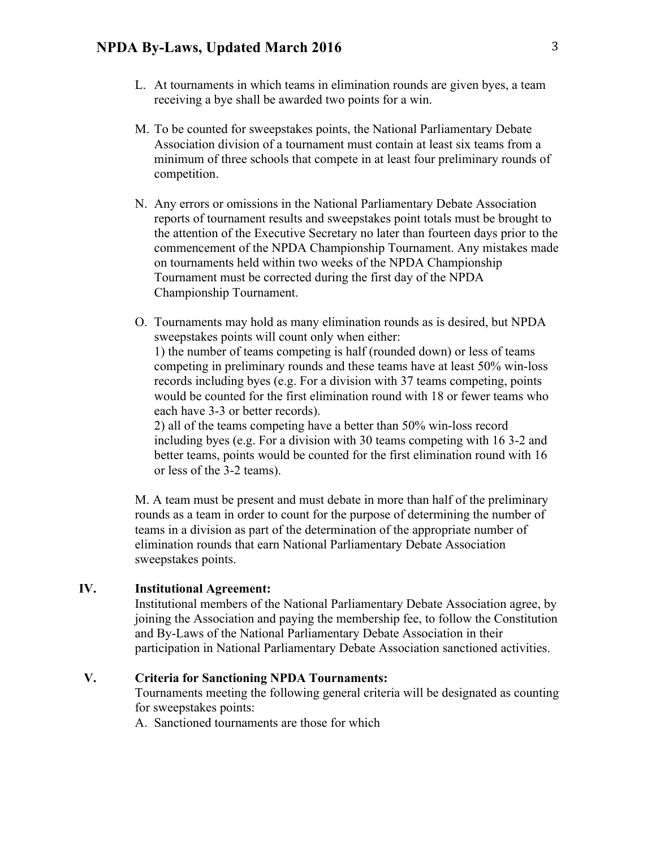- L. At tournaments in which teams in elimination rounds are given byes, a team receiving a bye shall be awarded two points for a win.
- M. To be counted for sweepstakes points, the National Parliamentary Debate Association division of a tournament must contain at least six teams from a minimum of three schools that compete in at least four preliminary rounds of competition.
- N. Any errors or omissions in the National Parliamentary Debate Association reports of tournament results and sweepstakes point totals must be brought to the attention of the Executive Secretary no later than fourteen days prior to the commencement of the NPDA Championship Tournament. Any mistakes made on tournaments held within two weeks of the NPDA Championship Tournament must be corrected during the first day of the NPDA Championship Tournament.
- O. Tournaments may hold as many elimination rounds as is desired, but NPDA sweepstakes points will count only when either: 1) the number of teams competing is half (rounded down) or less of teams competing in preliminary rounds and these teams have at least 50% win-loss records including byes (e.g. For a division with 37 teams competing, points would be counted for the first elimination round with 18 or fewer teams who each have 3-3 or better records).

2) all of the teams competing have a better than 50% win-loss record including byes (e.g. For a division with 30 teams competing with 16 3-2 and better teams, points would be counted for the first elimination round with 16 or less of the 3-2 teams).

M. A team must be present and must debate in more than half of the preliminary rounds as a team in order to count for the purpose of determining the number of teams in a division as part of the determination of the appropriate number of elimination rounds that earn National Parliamentary Debate Association sweepstakes points.

### **IV. Institutional Agreement:**

Institutional members of the National Parliamentary Debate Association agree, by joining the Association and paying the membership fee, to follow the Constitution and By-Laws of the National Parliamentary Debate Association in their participation in National Parliamentary Debate Association sanctioned activities.

## **V. Criteria for Sanctioning NPDA Tournaments:**

Tournaments meeting the following general criteria will be designated as counting for sweepstakes points:

A. Sanctioned tournaments are those for which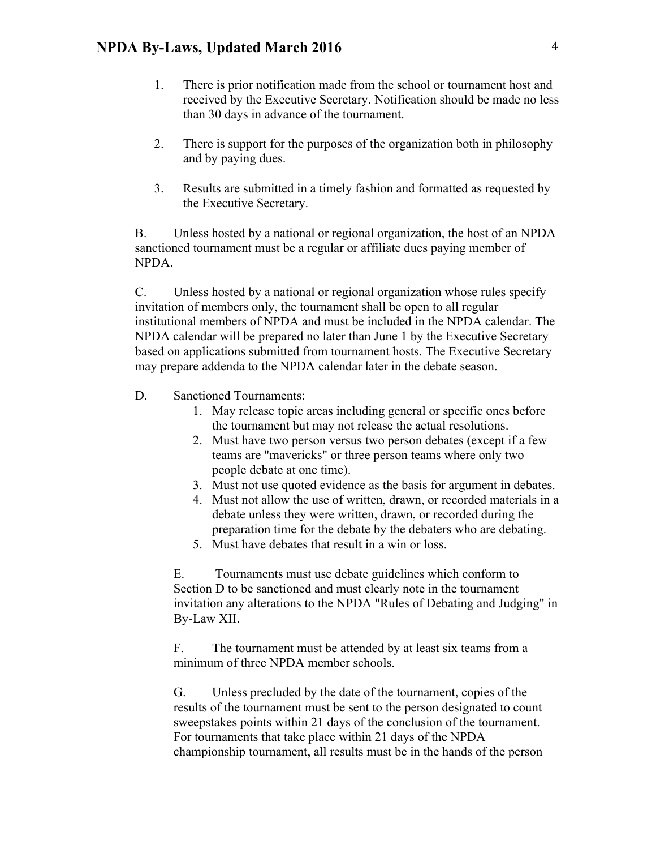- 1. There is prior notification made from the school or tournament host and received by the Executive Secretary. Notification should be made no less than 30 days in advance of the tournament.
- 2. There is support for the purposes of the organization both in philosophy and by paying dues.
- 3. Results are submitted in a timely fashion and formatted as requested by the Executive Secretary.

B. Unless hosted by a national or regional organization, the host of an NPDA sanctioned tournament must be a regular or affiliate dues paying member of NPDA.

C. Unless hosted by a national or regional organization whose rules specify invitation of members only, the tournament shall be open to all regular institutional members of NPDA and must be included in the NPDA calendar. The NPDA calendar will be prepared no later than June 1 by the Executive Secretary based on applications submitted from tournament hosts. The Executive Secretary may prepare addenda to the NPDA calendar later in the debate season.

- D. Sanctioned Tournaments:
	- 1. May release topic areas including general or specific ones before the tournament but may not release the actual resolutions.
	- 2. Must have two person versus two person debates (except if a few teams are "mavericks" or three person teams where only two people debate at one time).
	- 3. Must not use quoted evidence as the basis for argument in debates.
	- 4. Must not allow the use of written, drawn, or recorded materials in a debate unless they were written, drawn, or recorded during the preparation time for the debate by the debaters who are debating.
	- 5. Must have debates that result in a win or loss.

E. Tournaments must use debate guidelines which conform to Section D to be sanctioned and must clearly note in the tournament invitation any alterations to the NPDA "Rules of Debating and Judging" in By-Law XII.

F. The tournament must be attended by at least six teams from a minimum of three NPDA member schools.

G. Unless precluded by the date of the tournament, copies of the results of the tournament must be sent to the person designated to count sweepstakes points within 21 days of the conclusion of the tournament. For tournaments that take place within 21 days of the NPDA championship tournament, all results must be in the hands of the person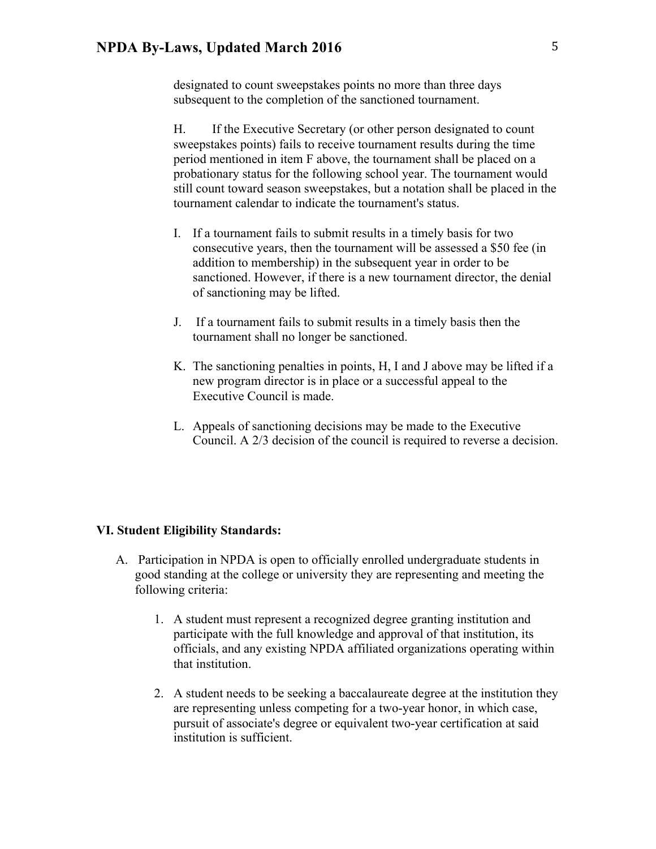designated to count sweepstakes points no more than three days subsequent to the completion of the sanctioned tournament.

H. If the Executive Secretary (or other person designated to count sweepstakes points) fails to receive tournament results during the time period mentioned in item F above, the tournament shall be placed on a probationary status for the following school year. The tournament would still count toward season sweepstakes, but a notation shall be placed in the tournament calendar to indicate the tournament's status.

- I. If a tournament fails to submit results in a timely basis for two consecutive years, then the tournament will be assessed a \$50 fee (in addition to membership) in the subsequent year in order to be sanctioned. However, if there is a new tournament director, the denial of sanctioning may be lifted.
- J. If a tournament fails to submit results in a timely basis then the tournament shall no longer be sanctioned.
- K. The sanctioning penalties in points, H, I and J above may be lifted if a new program director is in place or a successful appeal to the Executive Council is made.
- L. Appeals of sanctioning decisions may be made to the Executive Council. A 2/3 decision of the council is required to reverse a decision.

#### **VI. Student Eligibility Standards:**

- A. Participation in NPDA is open to officially enrolled undergraduate students in good standing at the college or university they are representing and meeting the following criteria:
	- 1. A student must represent a recognized degree granting institution and participate with the full knowledge and approval of that institution, its officials, and any existing NPDA affiliated organizations operating within that institution.
	- 2. A student needs to be seeking a baccalaureate degree at the institution they are representing unless competing for a two-year honor, in which case, pursuit of associate's degree or equivalent two-year certification at said institution is sufficient.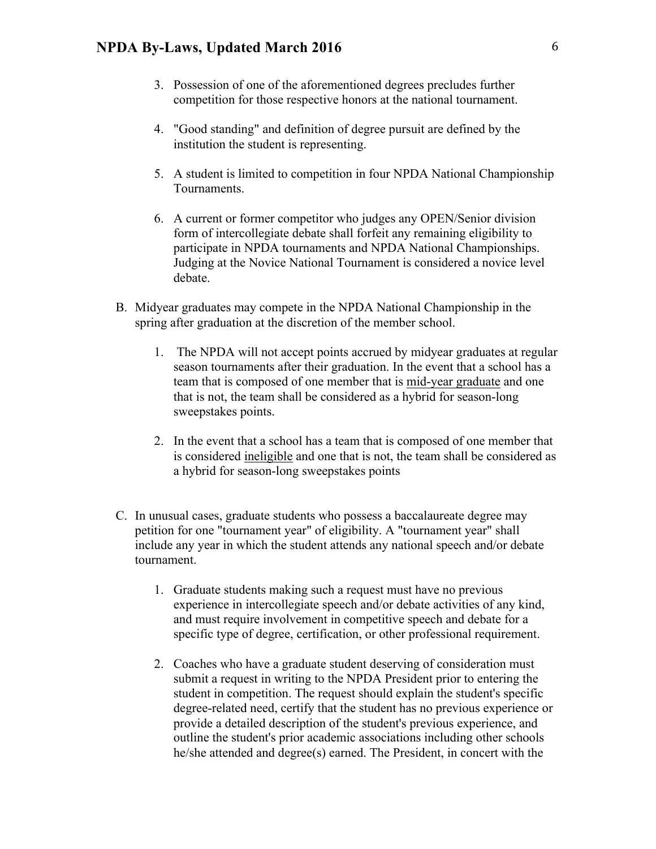- 3. Possession of one of the aforementioned degrees precludes further competition for those respective honors at the national tournament.
- 4. "Good standing" and definition of degree pursuit are defined by the institution the student is representing.
- 5. A student is limited to competition in four NPDA National Championship Tournaments.
- 6. A current or former competitor who judges any OPEN/Senior division form of intercollegiate debate shall forfeit any remaining eligibility to participate in NPDA tournaments and NPDA National Championships. Judging at the Novice National Tournament is considered a novice level debate.
- B. Midyear graduates may compete in the NPDA National Championship in the spring after graduation at the discretion of the member school.
	- 1. The NPDA will not accept points accrued by midyear graduates at regular season tournaments after their graduation. In the event that a school has a team that is composed of one member that is mid-year graduate and one that is not, the team shall be considered as a hybrid for season-long sweepstakes points.
	- 2. In the event that a school has a team that is composed of one member that is considered ineligible and one that is not, the team shall be considered as a hybrid for season-long sweepstakes points
- C. In unusual cases, graduate students who possess a baccalaureate degree may petition for one "tournament year" of eligibility. A "tournament year" shall include any year in which the student attends any national speech and/or debate tournament.
	- 1. Graduate students making such a request must have no previous experience in intercollegiate speech and/or debate activities of any kind, and must require involvement in competitive speech and debate for a specific type of degree, certification, or other professional requirement.
	- 2. Coaches who have a graduate student deserving of consideration must submit a request in writing to the NPDA President prior to entering the student in competition. The request should explain the student's specific degree-related need, certify that the student has no previous experience or provide a detailed description of the student's previous experience, and outline the student's prior academic associations including other schools he/she attended and degree(s) earned. The President, in concert with the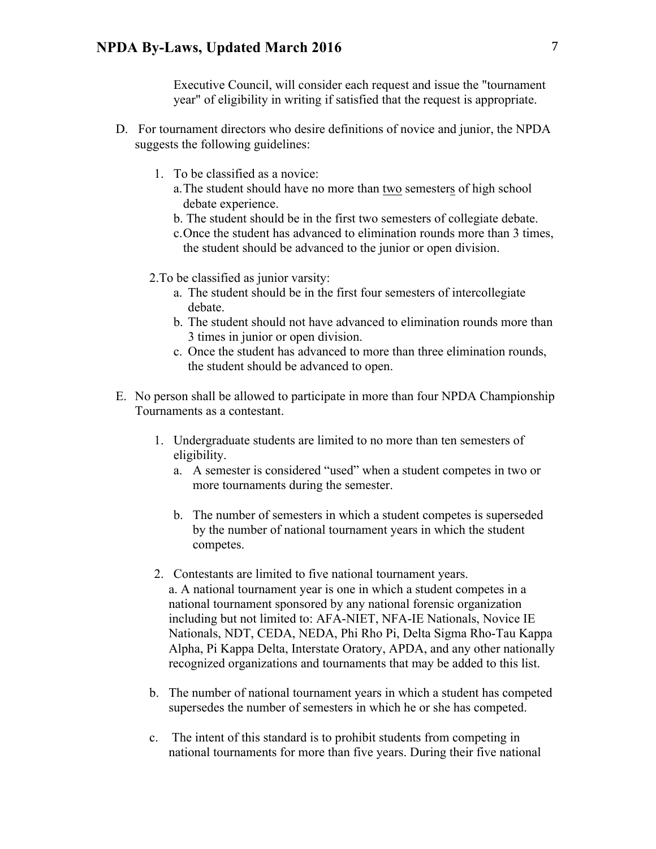Executive Council, will consider each request and issue the "tournament year" of eligibility in writing if satisfied that the request is appropriate.

- D. For tournament directors who desire definitions of novice and junior, the NPDA suggests the following guidelines:
	- 1. To be classified as a novice:
		- a.The student should have no more than two semesters of high school debate experience.
		- b. The student should be in the first two semesters of collegiate debate.
		- c.Once the student has advanced to elimination rounds more than 3 times, the student should be advanced to the junior or open division.
	- 2.To be classified as junior varsity:
		- a. The student should be in the first four semesters of intercollegiate debate.
		- b. The student should not have advanced to elimination rounds more than 3 times in junior or open division.
		- c. Once the student has advanced to more than three elimination rounds, the student should be advanced to open.
- E. No person shall be allowed to participate in more than four NPDA Championship Tournaments as a contestant.
	- 1. Undergraduate students are limited to no more than ten semesters of eligibility.
		- a. A semester is considered "used" when a student competes in two or more tournaments during the semester.
		- b. The number of semesters in which a student competes is superseded by the number of national tournament years in which the student competes.
	- 2. Contestants are limited to five national tournament years. a. A national tournament year is one in which a student competes in a national tournament sponsored by any national forensic organization including but not limited to: AFA-NIET, NFA-IE Nationals, Novice IE Nationals, NDT, CEDA, NEDA, Phi Rho Pi, Delta Sigma Rho-Tau Kappa Alpha, Pi Kappa Delta, Interstate Oratory, APDA, and any other nationally recognized organizations and tournaments that may be added to this list.
	- b. The number of national tournament years in which a student has competed supersedes the number of semesters in which he or she has competed.
	- c. The intent of this standard is to prohibit students from competing in national tournaments for more than five years. During their five national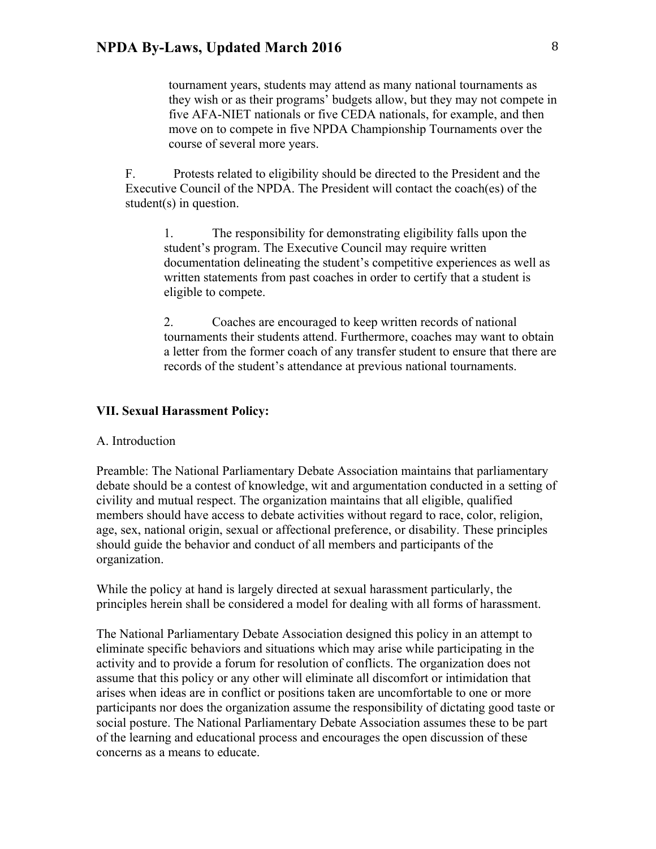tournament years, students may attend as many national tournaments as they wish or as their programs' budgets allow, but they may not compete in five AFA-NIET nationals or five CEDA nationals, for example, and then move on to compete in five NPDA Championship Tournaments over the course of several more years.

F. Protests related to eligibility should be directed to the President and the Executive Council of the NPDA. The President will contact the coach(es) of the student(s) in question.

1. The responsibility for demonstrating eligibility falls upon the student's program. The Executive Council may require written documentation delineating the student's competitive experiences as well as written statements from past coaches in order to certify that a student is eligible to compete.

2. Coaches are encouraged to keep written records of national tournaments their students attend. Furthermore, coaches may want to obtain a letter from the former coach of any transfer student to ensure that there are records of the student's attendance at previous national tournaments.

### **VII. Sexual Harassment Policy:**

### A. Introduction

Preamble: The National Parliamentary Debate Association maintains that parliamentary debate should be a contest of knowledge, wit and argumentation conducted in a setting of civility and mutual respect. The organization maintains that all eligible, qualified members should have access to debate activities without regard to race, color, religion, age, sex, national origin, sexual or affectional preference, or disability. These principles should guide the behavior and conduct of all members and participants of the organization.

While the policy at hand is largely directed at sexual harassment particularly, the principles herein shall be considered a model for dealing with all forms of harassment.

The National Parliamentary Debate Association designed this policy in an attempt to eliminate specific behaviors and situations which may arise while participating in the activity and to provide a forum for resolution of conflicts. The organization does not assume that this policy or any other will eliminate all discomfort or intimidation that arises when ideas are in conflict or positions taken are uncomfortable to one or more participants nor does the organization assume the responsibility of dictating good taste or social posture. The National Parliamentary Debate Association assumes these to be part of the learning and educational process and encourages the open discussion of these concerns as a means to educate.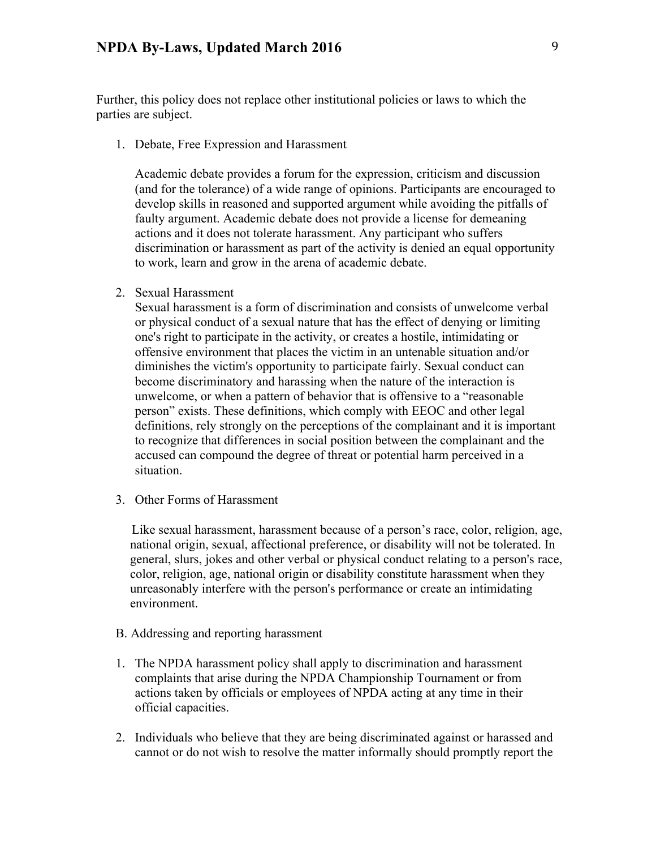Further, this policy does not replace other institutional policies or laws to which the parties are subject.

1. Debate, Free Expression and Harassment

Academic debate provides a forum for the expression, criticism and discussion (and for the tolerance) of a wide range of opinions. Participants are encouraged to develop skills in reasoned and supported argument while avoiding the pitfalls of faulty argument. Academic debate does not provide a license for demeaning actions and it does not tolerate harassment. Any participant who suffers discrimination or harassment as part of the activity is denied an equal opportunity to work, learn and grow in the arena of academic debate.

2. Sexual Harassment

Sexual harassment is a form of discrimination and consists of unwelcome verbal or physical conduct of a sexual nature that has the effect of denying or limiting one's right to participate in the activity, or creates a hostile, intimidating or offensive environment that places the victim in an untenable situation and/or diminishes the victim's opportunity to participate fairly. Sexual conduct can become discriminatory and harassing when the nature of the interaction is unwelcome, or when a pattern of behavior that is offensive to a "reasonable person" exists. These definitions, which comply with EEOC and other legal definitions, rely strongly on the perceptions of the complainant and it is important to recognize that differences in social position between the complainant and the accused can compound the degree of threat or potential harm perceived in a situation.

3. Other Forms of Harassment

 Like sexual harassment, harassment because of a person's race, color, religion, age, national origin, sexual, affectional preference, or disability will not be tolerated. In general, slurs, jokes and other verbal or physical conduct relating to a person's race, color, religion, age, national origin or disability constitute harassment when they unreasonably interfere with the person's performance or create an intimidating environment.

- B. Addressing and reporting harassment
- 1. The NPDA harassment policy shall apply to discrimination and harassment complaints that arise during the NPDA Championship Tournament or from actions taken by officials or employees of NPDA acting at any time in their official capacities.
- 2. Individuals who believe that they are being discriminated against or harassed and cannot or do not wish to resolve the matter informally should promptly report the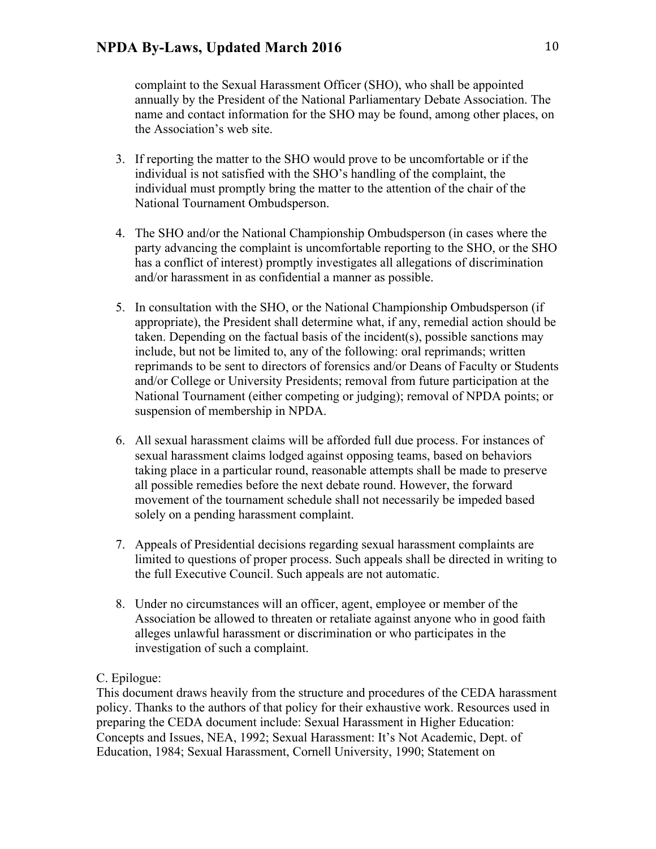complaint to the Sexual Harassment Officer (SHO), who shall be appointed annually by the President of the National Parliamentary Debate Association. The name and contact information for the SHO may be found, among other places, on the Association's web site.

- 3. If reporting the matter to the SHO would prove to be uncomfortable or if the individual is not satisfied with the SHO's handling of the complaint, the individual must promptly bring the matter to the attention of the chair of the National Tournament Ombudsperson.
- 4. The SHO and/or the National Championship Ombudsperson (in cases where the party advancing the complaint is uncomfortable reporting to the SHO, or the SHO has a conflict of interest) promptly investigates all allegations of discrimination and/or harassment in as confidential a manner as possible.
- 5. In consultation with the SHO, or the National Championship Ombudsperson (if appropriate), the President shall determine what, if any, remedial action should be taken. Depending on the factual basis of the incident(s), possible sanctions may include, but not be limited to, any of the following: oral reprimands; written reprimands to be sent to directors of forensics and/or Deans of Faculty or Students and/or College or University Presidents; removal from future participation at the National Tournament (either competing or judging); removal of NPDA points; or suspension of membership in NPDA.
- 6. All sexual harassment claims will be afforded full due process. For instances of sexual harassment claims lodged against opposing teams, based on behaviors taking place in a particular round, reasonable attempts shall be made to preserve all possible remedies before the next debate round. However, the forward movement of the tournament schedule shall not necessarily be impeded based solely on a pending harassment complaint.
- 7. Appeals of Presidential decisions regarding sexual harassment complaints are limited to questions of proper process. Such appeals shall be directed in writing to the full Executive Council. Such appeals are not automatic.
- 8. Under no circumstances will an officer, agent, employee or member of the Association be allowed to threaten or retaliate against anyone who in good faith alleges unlawful harassment or discrimination or who participates in the investigation of such a complaint.

# C. Epilogue:

This document draws heavily from the structure and procedures of the CEDA harassment policy. Thanks to the authors of that policy for their exhaustive work. Resources used in preparing the CEDA document include: Sexual Harassment in Higher Education: Concepts and Issues, NEA, 1992; Sexual Harassment: It's Not Academic, Dept. of Education, 1984; Sexual Harassment, Cornell University, 1990; Statement on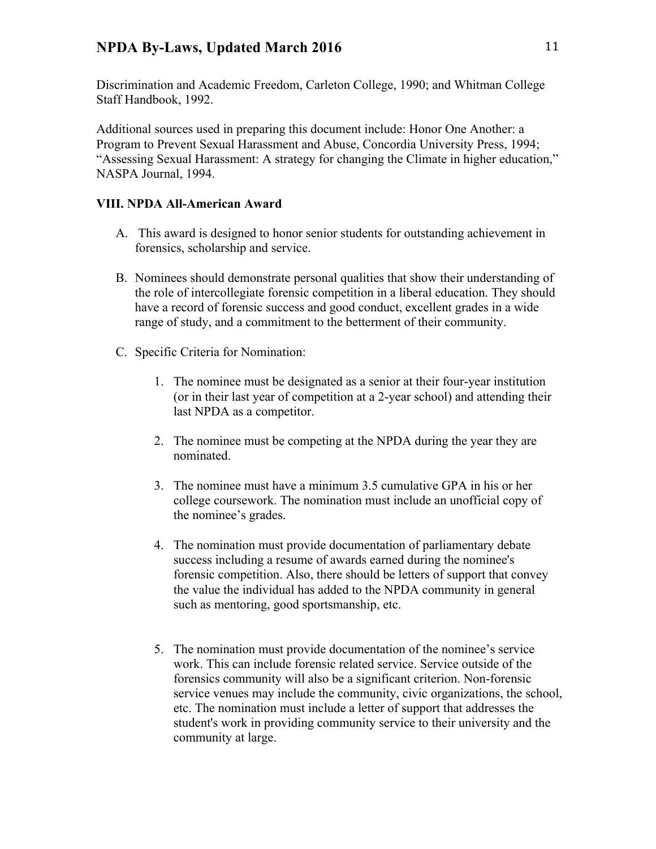Discrimination and Academic Freedom, Carleton College, 1990; and Whitman College Staff Handbook, 1992.

Additional sources used in preparing this document include: Honor One Another: a Program to Prevent Sexual Harassment and Abuse, Concordia University Press, 1994; "Assessing Sexual Harassment: A strategy for changing the Climate in higher education," NASPA Journal, 1994.

## **VIII. NPDA All-American Award**

- A. This award is designed to honor senior students for outstanding achievement in forensics, scholarship and service.
- B. Nominees should demonstrate personal qualities that show their understanding of the role of intercollegiate forensic competition in a liberal education. They should have a record of forensic success and good conduct, excellent grades in a wide range of study, and a commitment to the betterment of their community.
- C. Specific Criteria for Nomination:
	- 1. The nominee must be designated as a senior at their four-year institution (or in their last year of competition at a 2-year school) and attending their last NPDA as a competitor.
	- 2. The nominee must be competing at the NPDA during the year they are nominated.
	- 3. The nominee must have a minimum 3.5 cumulative GPA in his or her college coursework. The nomination must include an unofficial copy of the nominee's grades.
	- 4. The nomination must provide documentation of parliamentary debate success including a resume of awards earned during the nominee's forensic competition. Also, there should be letters of support that convey the value the individual has added to the NPDA community in general such as mentoring, good sportsmanship, etc.
	- 5. The nomination must provide documentation of the nominee's service work. This can include forensic related service. Service outside of the forensics community will also be a significant criterion. Non-forensic service venues may include the community, civic organizations, the school, etc. The nomination must include a letter of support that addresses the student's work in providing community service to their university and the community at large.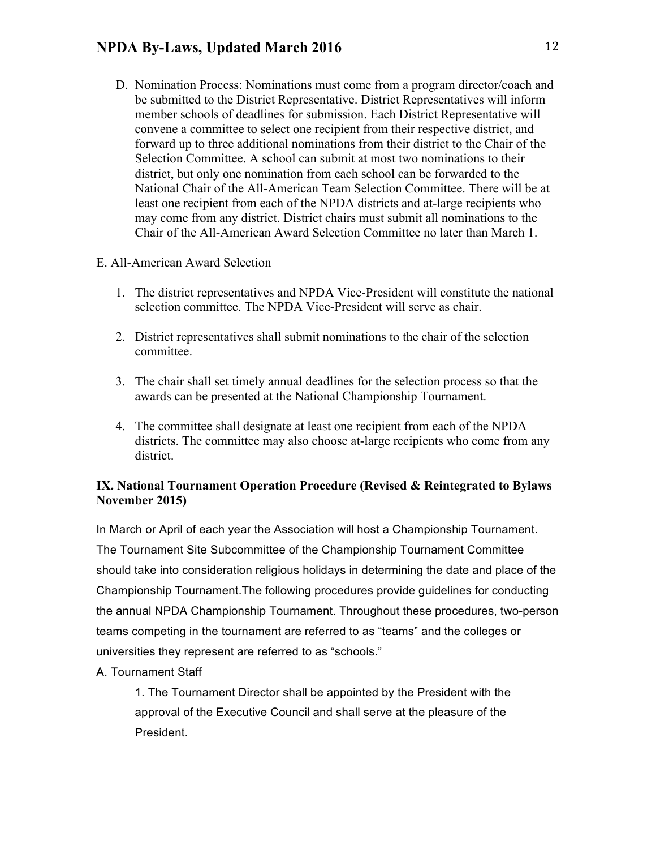D. Nomination Process: Nominations must come from a program director/coach and be submitted to the District Representative. District Representatives will inform member schools of deadlines for submission. Each District Representative will convene a committee to select one recipient from their respective district, and forward up to three additional nominations from their district to the Chair of the Selection Committee. A school can submit at most two nominations to their district, but only one nomination from each school can be forwarded to the National Chair of the All-American Team Selection Committee. There will be at least one recipient from each of the NPDA districts and at-large recipients who may come from any district. District chairs must submit all nominations to the Chair of the All-American Award Selection Committee no later than March 1.

# E. All-American Award Selection

- 1. The district representatives and NPDA Vice-President will constitute the national selection committee. The NPDA Vice-President will serve as chair.
- 2. District representatives shall submit nominations to the chair of the selection committee.
- 3. The chair shall set timely annual deadlines for the selection process so that the awards can be presented at the National Championship Tournament.
- 4. The committee shall designate at least one recipient from each of the NPDA districts. The committee may also choose at-large recipients who come from any district.

# **IX. National Tournament Operation Procedure (Revised & Reintegrated to Bylaws November 2015)**

In March or April of each year the Association will host a Championship Tournament. The Tournament Site Subcommittee of the Championship Tournament Committee should take into consideration religious holidays in determining the date and place of the Championship Tournament.The following procedures provide guidelines for conducting the annual NPDA Championship Tournament. Throughout these procedures, two-person teams competing in the tournament are referred to as "teams" and the colleges or universities they represent are referred to as "schools."

# A. Tournament Staff

1. The Tournament Director shall be appointed by the President with the approval of the Executive Council and shall serve at the pleasure of the President.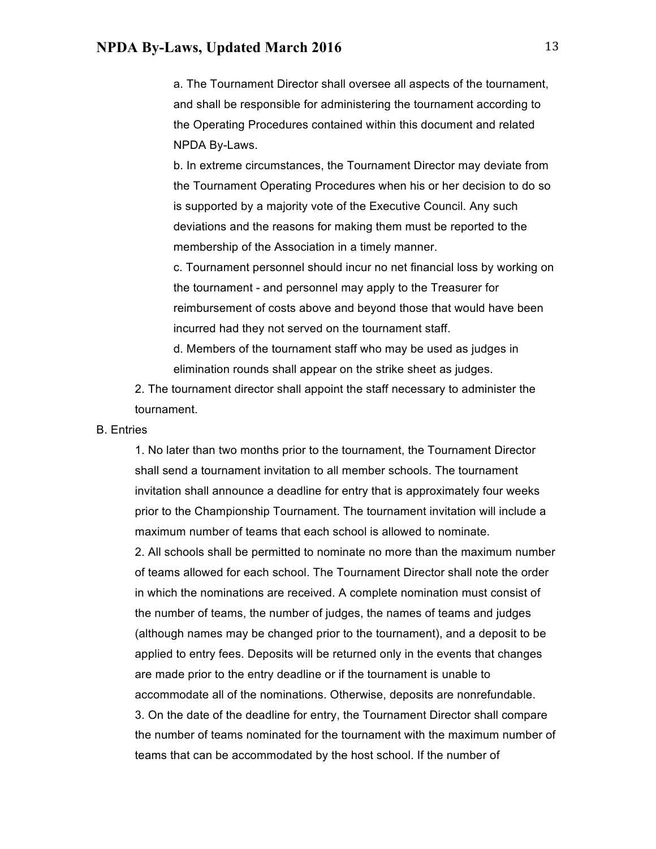a. The Tournament Director shall oversee all aspects of the tournament, and shall be responsible for administering the tournament according to the Operating Procedures contained within this document and related NPDA By-Laws.

b. In extreme circumstances, the Tournament Director may deviate from the Tournament Operating Procedures when his or her decision to do so is supported by a majority vote of the Executive Council. Any such deviations and the reasons for making them must be reported to the membership of the Association in a timely manner.

c. Tournament personnel should incur no net financial loss by working on the tournament - and personnel may apply to the Treasurer for reimbursement of costs above and beyond those that would have been incurred had they not served on the tournament staff.

d. Members of the tournament staff who may be used as judges in elimination rounds shall appear on the strike sheet as judges.

2. The tournament director shall appoint the staff necessary to administer the tournament.

#### B. Entries

1. No later than two months prior to the tournament, the Tournament Director shall send a tournament invitation to all member schools. The tournament invitation shall announce a deadline for entry that is approximately four weeks prior to the Championship Tournament. The tournament invitation will include a maximum number of teams that each school is allowed to nominate.

2. All schools shall be permitted to nominate no more than the maximum number of teams allowed for each school. The Tournament Director shall note the order in which the nominations are received. A complete nomination must consist of the number of teams, the number of judges, the names of teams and judges (although names may be changed prior to the tournament), and a deposit to be applied to entry fees. Deposits will be returned only in the events that changes are made prior to the entry deadline or if the tournament is unable to accommodate all of the nominations. Otherwise, deposits are nonrefundable. 3. On the date of the deadline for entry, the Tournament Director shall compare the number of teams nominated for the tournament with the maximum number of teams that can be accommodated by the host school. If the number of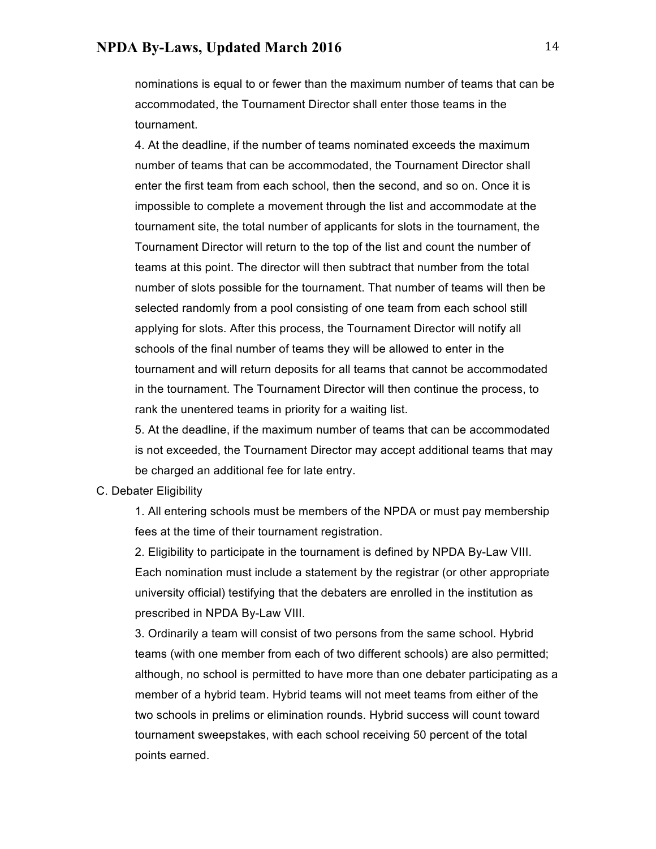nominations is equal to or fewer than the maximum number of teams that can be accommodated, the Tournament Director shall enter those teams in the tournament.

4. At the deadline, if the number of teams nominated exceeds the maximum number of teams that can be accommodated, the Tournament Director shall enter the first team from each school, then the second, and so on. Once it is impossible to complete a movement through the list and accommodate at the tournament site, the total number of applicants for slots in the tournament, the Tournament Director will return to the top of the list and count the number of teams at this point. The director will then subtract that number from the total number of slots possible for the tournament. That number of teams will then be selected randomly from a pool consisting of one team from each school still applying for slots. After this process, the Tournament Director will notify all schools of the final number of teams they will be allowed to enter in the tournament and will return deposits for all teams that cannot be accommodated in the tournament. The Tournament Director will then continue the process, to rank the unentered teams in priority for a waiting list.

5. At the deadline, if the maximum number of teams that can be accommodated is not exceeded, the Tournament Director may accept additional teams that may be charged an additional fee for late entry.

#### C. Debater Eligibility

1. All entering schools must be members of the NPDA or must pay membership fees at the time of their tournament registration.

2. Eligibility to participate in the tournament is defined by NPDA By-Law VIII. Each nomination must include a statement by the registrar (or other appropriate university official) testifying that the debaters are enrolled in the institution as prescribed in NPDA By-Law VIII.

3. Ordinarily a team will consist of two persons from the same school. Hybrid teams (with one member from each of two different schools) are also permitted; although, no school is permitted to have more than one debater participating as a member of a hybrid team. Hybrid teams will not meet teams from either of the two schools in prelims or elimination rounds. Hybrid success will count toward tournament sweepstakes, with each school receiving 50 percent of the total points earned.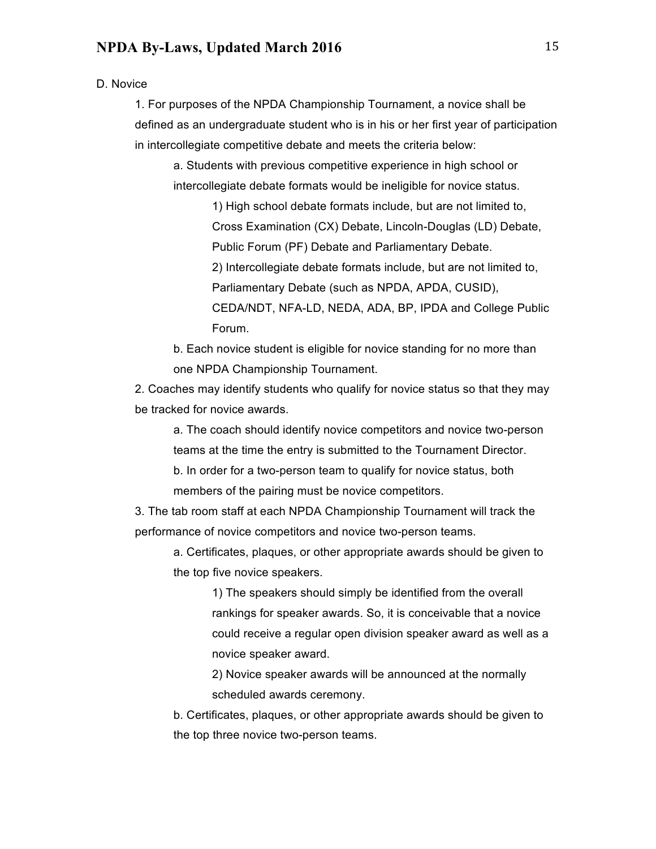D. Novice

1. For purposes of the NPDA Championship Tournament, a novice shall be defined as an undergraduate student who is in his or her first year of participation in intercollegiate competitive debate and meets the criteria below:

a. Students with previous competitive experience in high school or intercollegiate debate formats would be ineligible for novice status.

> 1) High school debate formats include, but are not limited to, Cross Examination (CX) Debate, Lincoln-Douglas (LD) Debate, Public Forum (PF) Debate and Parliamentary Debate. 2) Intercollegiate debate formats include, but are not limited to, Parliamentary Debate (such as NPDA, APDA, CUSID), CEDA/NDT, NFA-LD, NEDA, ADA, BP, IPDA and College Public Forum.

b. Each novice student is eligible for novice standing for no more than one NPDA Championship Tournament.

2. Coaches may identify students who qualify for novice status so that they may be tracked for novice awards.

a. The coach should identify novice competitors and novice two-person teams at the time the entry is submitted to the Tournament Director. b. In order for a two-person team to qualify for novice status, both members of the pairing must be novice competitors.

3. The tab room staff at each NPDA Championship Tournament will track the performance of novice competitors and novice two-person teams.

a. Certificates, plaques, or other appropriate awards should be given to the top five novice speakers.

> 1) The speakers should simply be identified from the overall rankings for speaker awards. So, it is conceivable that a novice could receive a regular open division speaker award as well as a novice speaker award.

2) Novice speaker awards will be announced at the normally scheduled awards ceremony.

b. Certificates, plaques, or other appropriate awards should be given to the top three novice two-person teams.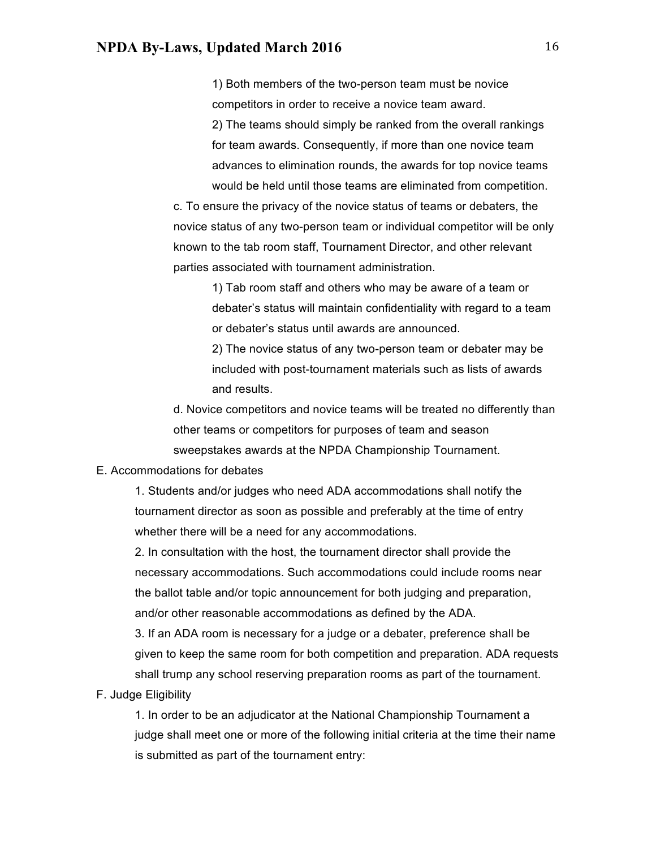1) Both members of the two-person team must be novice competitors in order to receive a novice team award. 2) The teams should simply be ranked from the overall rankings

for team awards. Consequently, if more than one novice team advances to elimination rounds, the awards for top novice teams would be held until those teams are eliminated from competition.

c. To ensure the privacy of the novice status of teams or debaters, the novice status of any two-person team or individual competitor will be only known to the tab room staff, Tournament Director, and other relevant parties associated with tournament administration.

> 1) Tab room staff and others who may be aware of a team or debater's status will maintain confidentiality with regard to a team or debater's status until awards are announced.

2) The novice status of any two-person team or debater may be included with post-tournament materials such as lists of awards and results.

d. Novice competitors and novice teams will be treated no differently than other teams or competitors for purposes of team and season sweepstakes awards at the NPDA Championship Tournament.

#### E. Accommodations for debates

1. Students and/or judges who need ADA accommodations shall notify the tournament director as soon as possible and preferably at the time of entry whether there will be a need for any accommodations.

2. In consultation with the host, the tournament director shall provide the necessary accommodations. Such accommodations could include rooms near the ballot table and/or topic announcement for both judging and preparation, and/or other reasonable accommodations as defined by the ADA.

3. If an ADA room is necessary for a judge or a debater, preference shall be given to keep the same room for both competition and preparation. ADA requests shall trump any school reserving preparation rooms as part of the tournament.

F. Judge Eligibility

1. In order to be an adjudicator at the National Championship Tournament a judge shall meet one or more of the following initial criteria at the time their name is submitted as part of the tournament entry: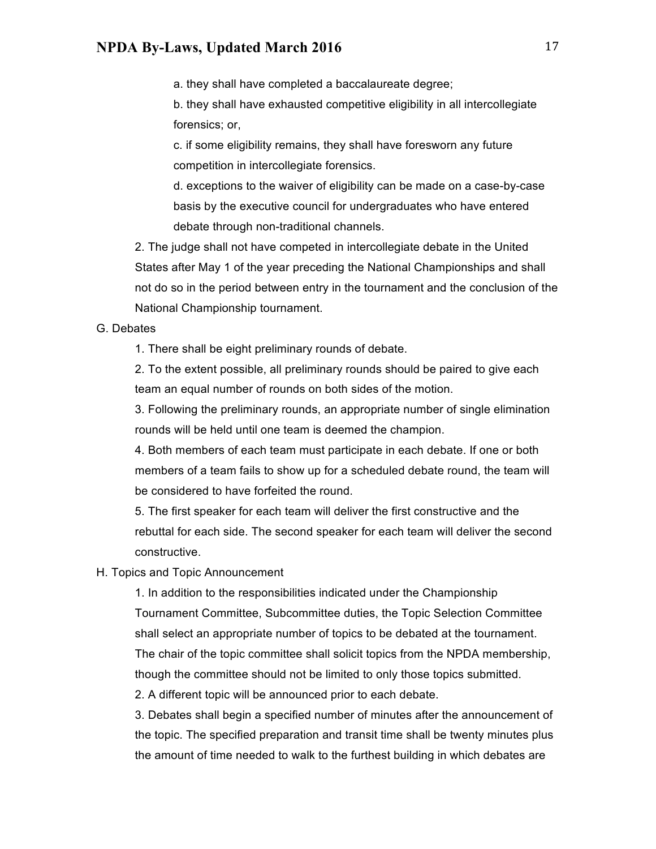a. they shall have completed a baccalaureate degree;

b. they shall have exhausted competitive eligibility in all intercollegiate forensics; or,

c. if some eligibility remains, they shall have foresworn any future competition in intercollegiate forensics.

d. exceptions to the waiver of eligibility can be made on a case-by-case basis by the executive council for undergraduates who have entered debate through non-traditional channels.

2. The judge shall not have competed in intercollegiate debate in the United States after May 1 of the year preceding the National Championships and shall not do so in the period between entry in the tournament and the conclusion of the National Championship tournament.

### G. Debates

1. There shall be eight preliminary rounds of debate.

2. To the extent possible, all preliminary rounds should be paired to give each team an equal number of rounds on both sides of the motion.

3. Following the preliminary rounds, an appropriate number of single elimination rounds will be held until one team is deemed the champion.

4. Both members of each team must participate in each debate. If one or both members of a team fails to show up for a scheduled debate round, the team will be considered to have forfeited the round.

5. The first speaker for each team will deliver the first constructive and the rebuttal for each side. The second speaker for each team will deliver the second constructive.

### H. Topics and Topic Announcement

1. In addition to the responsibilities indicated under the Championship Tournament Committee, Subcommittee duties, the Topic Selection Committee shall select an appropriate number of topics to be debated at the tournament. The chair of the topic committee shall solicit topics from the NPDA membership, though the committee should not be limited to only those topics submitted. 2. A different topic will be announced prior to each debate.

3. Debates shall begin a specified number of minutes after the announcement of the topic. The specified preparation and transit time shall be twenty minutes plus the amount of time needed to walk to the furthest building in which debates are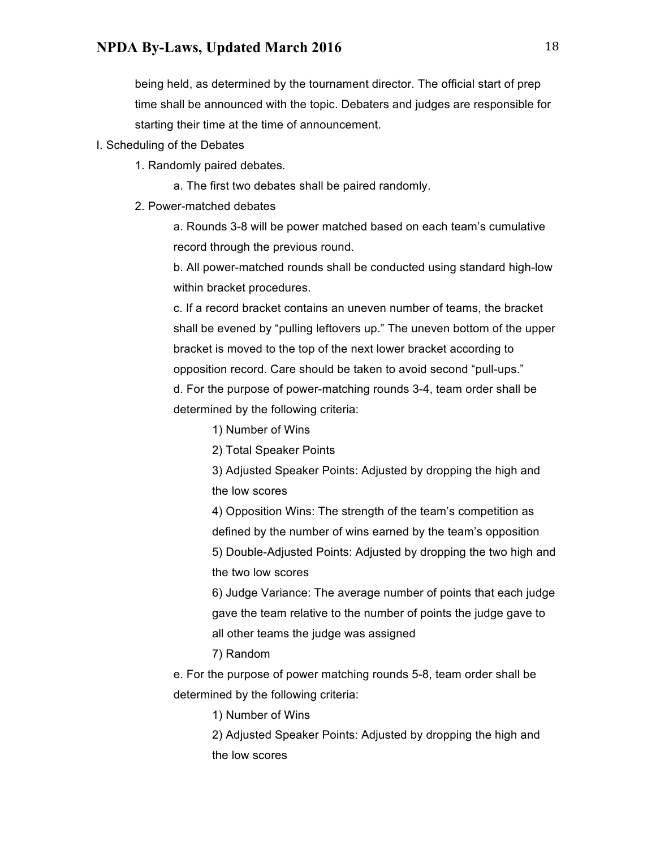being held, as determined by the tournament director. The official start of prep time shall be announced with the topic. Debaters and judges are responsible for starting their time at the time of announcement.

- I. Scheduling of the Debates
	- 1. Randomly paired debates.
		- a. The first two debates shall be paired randomly.
	- 2. Power-matched debates

a. Rounds 3-8 will be power matched based on each team's cumulative record through the previous round.

b. All power-matched rounds shall be conducted using standard high-low within bracket procedures.

c. If a record bracket contains an uneven number of teams, the bracket shall be evened by "pulling leftovers up." The uneven bottom of the upper bracket is moved to the top of the next lower bracket according to opposition record. Care should be taken to avoid second "pull-ups." d. For the purpose of power-matching rounds 3-4, team order shall be determined by the following criteria:

1) Number of Wins

2) Total Speaker Points

3) Adjusted Speaker Points: Adjusted by dropping the high and the low scores

4) Opposition Wins: The strength of the team's competition as defined by the number of wins earned by the team's opposition

5) Double-Adjusted Points: Adjusted by dropping the two high and the two low scores

6) Judge Variance: The average number of points that each judge gave the team relative to the number of points the judge gave to all other teams the judge was assigned

7) Random

e. For the purpose of power matching rounds 5-8, team order shall be determined by the following criteria:

1) Number of Wins

2) Adjusted Speaker Points: Adjusted by dropping the high and the low scores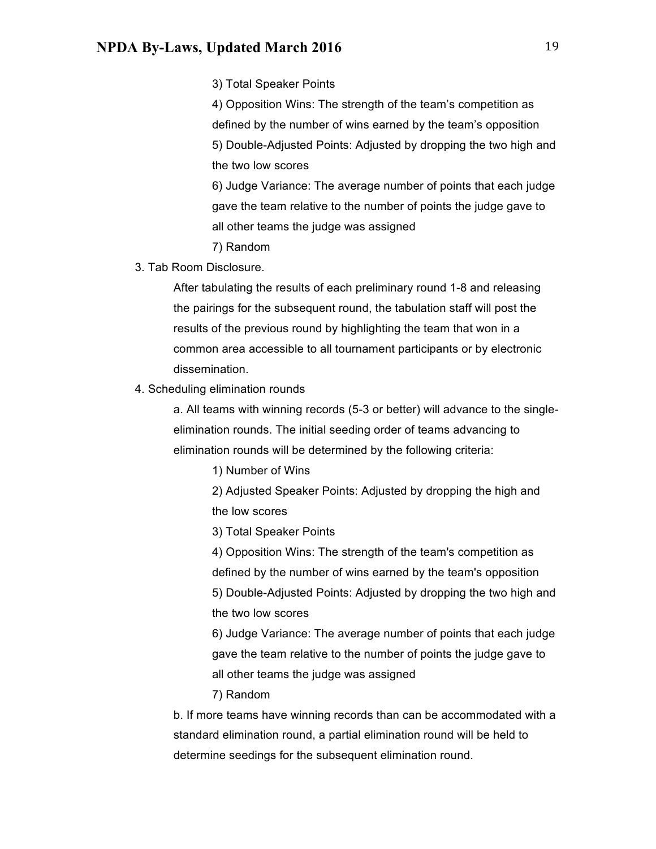3) Total Speaker Points

4) Opposition Wins: The strength of the team's competition as defined by the number of wins earned by the team's opposition 5) Double-Adjusted Points: Adjusted by dropping the two high and the two low scores

6) Judge Variance: The average number of points that each judge gave the team relative to the number of points the judge gave to all other teams the judge was assigned

- 7) Random
- 3. Tab Room Disclosure.

After tabulating the results of each preliminary round 1-8 and releasing the pairings for the subsequent round, the tabulation staff will post the results of the previous round by highlighting the team that won in a common area accessible to all tournament participants or by electronic dissemination.

4. Scheduling elimination rounds

a. All teams with winning records (5-3 or better) will advance to the singleelimination rounds. The initial seeding order of teams advancing to elimination rounds will be determined by the following criteria:

1) Number of Wins

2) Adjusted Speaker Points: Adjusted by dropping the high and the low scores

3) Total Speaker Points

4) Opposition Wins: The strength of the team's competition as defined by the number of wins earned by the team's opposition 5) Double-Adjusted Points: Adjusted by dropping the two high and the two low scores

6) Judge Variance: The average number of points that each judge gave the team relative to the number of points the judge gave to all other teams the judge was assigned

7) Random

b. If more teams have winning records than can be accommodated with a standard elimination round, a partial elimination round will be held to determine seedings for the subsequent elimination round.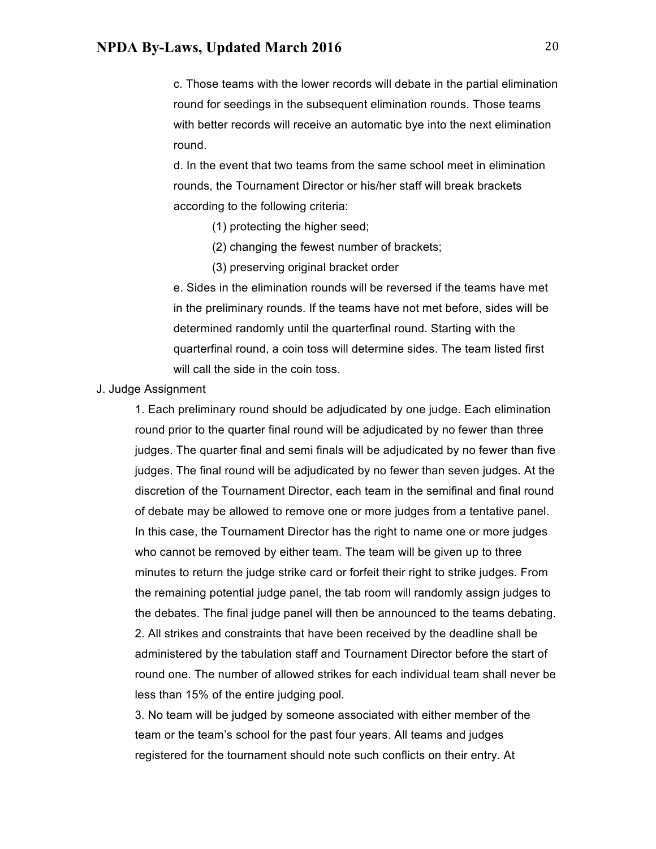c. Those teams with the lower records will debate in the partial elimination round for seedings in the subsequent elimination rounds. Those teams with better records will receive an automatic bye into the next elimination round.

d. In the event that two teams from the same school meet in elimination rounds, the Tournament Director or his/her staff will break brackets according to the following criteria:

- (1) protecting the higher seed;
- (2) changing the fewest number of brackets;
- (3) preserving original bracket order

e. Sides in the elimination rounds will be reversed if the teams have met in the preliminary rounds. If the teams have not met before, sides will be determined randomly until the quarterfinal round. Starting with the quarterfinal round, a coin toss will determine sides. The team listed first will call the side in the coin toss.

J. Judge Assignment

1. Each preliminary round should be adjudicated by one judge. Each elimination round prior to the quarter final round will be adjudicated by no fewer than three judges. The quarter final and semi finals will be adjudicated by no fewer than five judges. The final round will be adjudicated by no fewer than seven judges. At the discretion of the Tournament Director, each team in the semifinal and final round of debate may be allowed to remove one or more judges from a tentative panel. In this case, the Tournament Director has the right to name one or more judges who cannot be removed by either team. The team will be given up to three minutes to return the judge strike card or forfeit their right to strike judges. From the remaining potential judge panel, the tab room will randomly assign judges to the debates. The final judge panel will then be announced to the teams debating. 2. All strikes and constraints that have been received by the deadline shall be administered by the tabulation staff and Tournament Director before the start of round one. The number of allowed strikes for each individual team shall never be less than 15% of the entire judging pool.

3. No team will be judged by someone associated with either member of the team or the team's school for the past four years. All teams and judges registered for the tournament should note such conflicts on their entry. At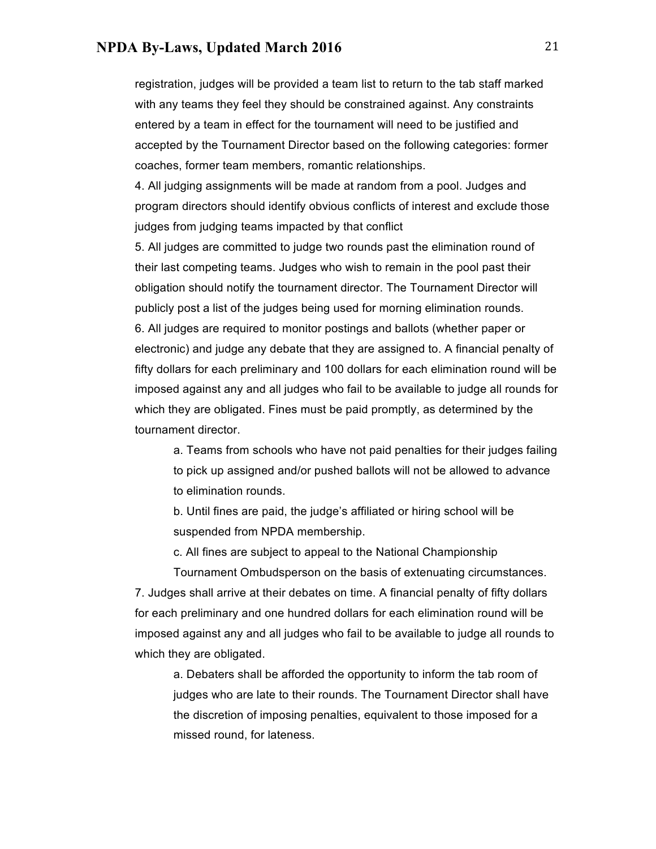registration, judges will be provided a team list to return to the tab staff marked with any teams they feel they should be constrained against. Any constraints entered by a team in effect for the tournament will need to be justified and accepted by the Tournament Director based on the following categories: former coaches, former team members, romantic relationships.

4. All judging assignments will be made at random from a pool. Judges and program directors should identify obvious conflicts of interest and exclude those judges from judging teams impacted by that conflict

5. All judges are committed to judge two rounds past the elimination round of their last competing teams. Judges who wish to remain in the pool past their obligation should notify the tournament director. The Tournament Director will publicly post a list of the judges being used for morning elimination rounds. 6. All judges are required to monitor postings and ballots (whether paper or electronic) and judge any debate that they are assigned to. A financial penalty of fifty dollars for each preliminary and 100 dollars for each elimination round will be imposed against any and all judges who fail to be available to judge all rounds for which they are obligated. Fines must be paid promptly, as determined by the tournament director.

a. Teams from schools who have not paid penalties for their judges failing to pick up assigned and/or pushed ballots will not be allowed to advance to elimination rounds.

b. Until fines are paid, the judge's affiliated or hiring school will be suspended from NPDA membership.

c. All fines are subject to appeal to the National Championship

Tournament Ombudsperson on the basis of extenuating circumstances. 7. Judges shall arrive at their debates on time. A financial penalty of fifty dollars for each preliminary and one hundred dollars for each elimination round will be imposed against any and all judges who fail to be available to judge all rounds to which they are obligated.

a. Debaters shall be afforded the opportunity to inform the tab room of judges who are late to their rounds. The Tournament Director shall have the discretion of imposing penalties, equivalent to those imposed for a missed round, for lateness.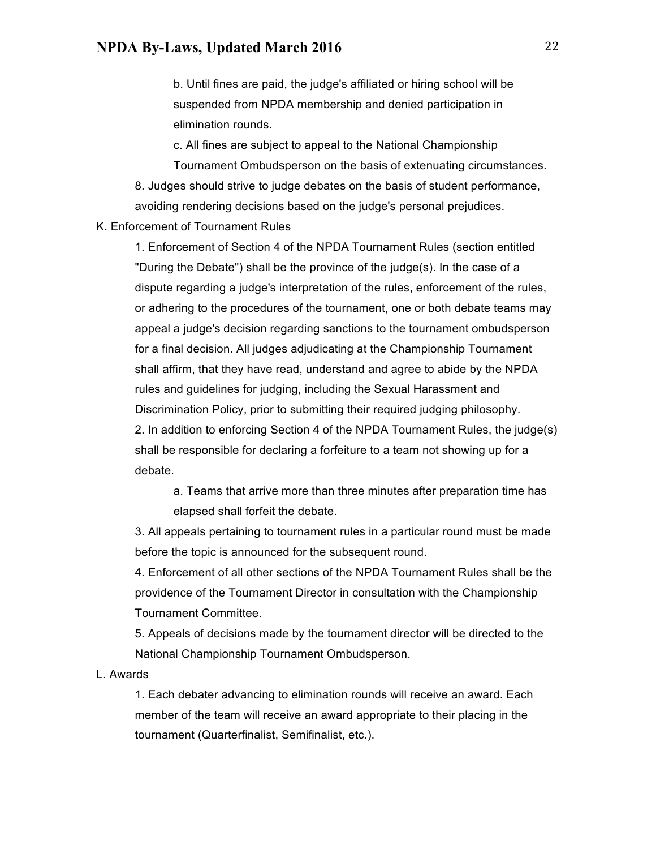b. Until fines are paid, the judge's affiliated or hiring school will be suspended from NPDA membership and denied participation in elimination rounds.

c. All fines are subject to appeal to the National Championship Tournament Ombudsperson on the basis of extenuating circumstances.

8. Judges should strive to judge debates on the basis of student performance, avoiding rendering decisions based on the judge's personal prejudices.

#### K. Enforcement of Tournament Rules

1. Enforcement of Section 4 of the NPDA Tournament Rules (section entitled "During the Debate") shall be the province of the judge(s). In the case of a dispute regarding a judge's interpretation of the rules, enforcement of the rules, or adhering to the procedures of the tournament, one or both debate teams may appeal a judge's decision regarding sanctions to the tournament ombudsperson for a final decision. All judges adjudicating at the Championship Tournament shall affirm, that they have read, understand and agree to abide by the NPDA rules and guidelines for judging, including the Sexual Harassment and Discrimination Policy, prior to submitting their required judging philosophy. 2. In addition to enforcing Section 4 of the NPDA Tournament Rules, the judge(s) shall be responsible for declaring a forfeiture to a team not showing up for a debate.

a. Teams that arrive more than three minutes after preparation time has elapsed shall forfeit the debate.

3. All appeals pertaining to tournament rules in a particular round must be made before the topic is announced for the subsequent round.

4. Enforcement of all other sections of the NPDA Tournament Rules shall be the providence of the Tournament Director in consultation with the Championship Tournament Committee.

5. Appeals of decisions made by the tournament director will be directed to the National Championship Tournament Ombudsperson.

L. Awards

1. Each debater advancing to elimination rounds will receive an award. Each member of the team will receive an award appropriate to their placing in the tournament (Quarterfinalist, Semifinalist, etc.).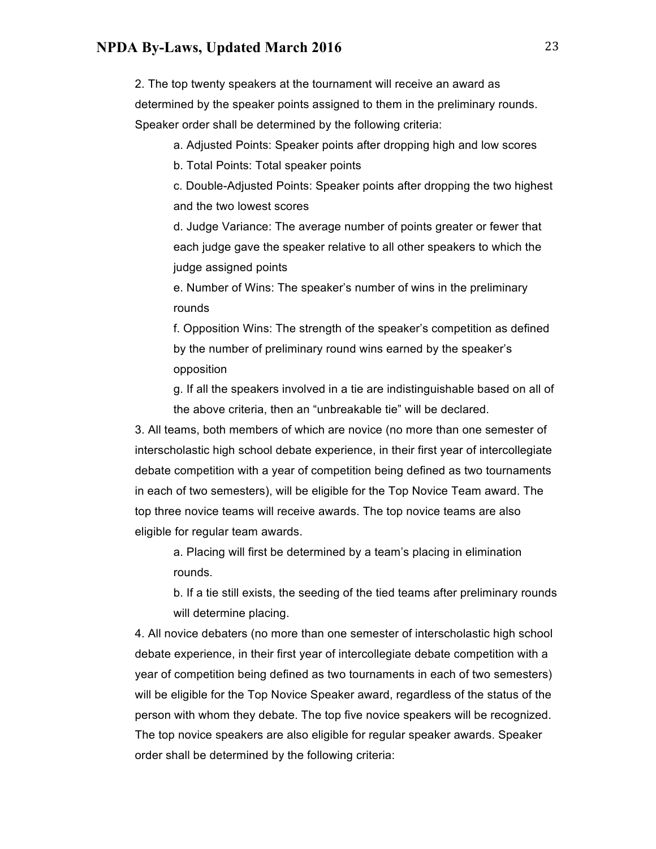2. The top twenty speakers at the tournament will receive an award as determined by the speaker points assigned to them in the preliminary rounds. Speaker order shall be determined by the following criteria:

a. Adjusted Points: Speaker points after dropping high and low scores

b. Total Points: Total speaker points

c. Double-Adjusted Points: Speaker points after dropping the two highest and the two lowest scores

d. Judge Variance: The average number of points greater or fewer that each judge gave the speaker relative to all other speakers to which the judge assigned points

e. Number of Wins: The speaker's number of wins in the preliminary rounds

f. Opposition Wins: The strength of the speaker's competition as defined by the number of preliminary round wins earned by the speaker's opposition

g. If all the speakers involved in a tie are indistinguishable based on all of the above criteria, then an "unbreakable tie" will be declared.

3. All teams, both members of which are novice (no more than one semester of interscholastic high school debate experience, in their first year of intercollegiate debate competition with a year of competition being defined as two tournaments in each of two semesters), will be eligible for the Top Novice Team award. The top three novice teams will receive awards. The top novice teams are also eligible for regular team awards.

a. Placing will first be determined by a team's placing in elimination rounds.

b. If a tie still exists, the seeding of the tied teams after preliminary rounds will determine placing.

4. All novice debaters (no more than one semester of interscholastic high school debate experience, in their first year of intercollegiate debate competition with a year of competition being defined as two tournaments in each of two semesters) will be eligible for the Top Novice Speaker award, regardless of the status of the person with whom they debate. The top five novice speakers will be recognized. The top novice speakers are also eligible for regular speaker awards. Speaker order shall be determined by the following criteria: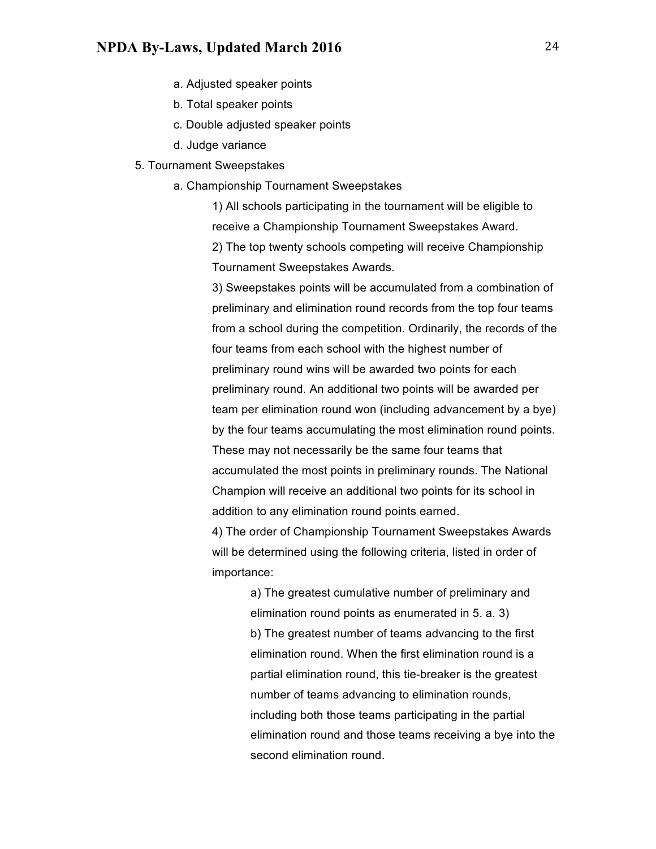- a. Adjusted speaker points
- b. Total speaker points
- c. Double adjusted speaker points
- d. Judge variance
- 5. Tournament Sweepstakes
	- a. Championship Tournament Sweepstakes

1) All schools participating in the tournament will be eligible to receive a Championship Tournament Sweepstakes Award. 2) The top twenty schools competing will receive Championship Tournament Sweepstakes Awards.

3) Sweepstakes points will be accumulated from a combination of preliminary and elimination round records from the top four teams from a school during the competition. Ordinarily, the records of the four teams from each school with the highest number of preliminary round wins will be awarded two points for each preliminary round. An additional two points will be awarded per team per elimination round won (including advancement by a bye) by the four teams accumulating the most elimination round points. These may not necessarily be the same four teams that accumulated the most points in preliminary rounds. The National Champion will receive an additional two points for its school in addition to any elimination round points earned.

4) The order of Championship Tournament Sweepstakes Awards will be determined using the following criteria, listed in order of importance:

> a) The greatest cumulative number of preliminary and elimination round points as enumerated in 5. a. 3) b) The greatest number of teams advancing to the first elimination round. When the first elimination round is a partial elimination round, this tie-breaker is the greatest number of teams advancing to elimination rounds, including both those teams participating in the partial elimination round and those teams receiving a bye into the second elimination round.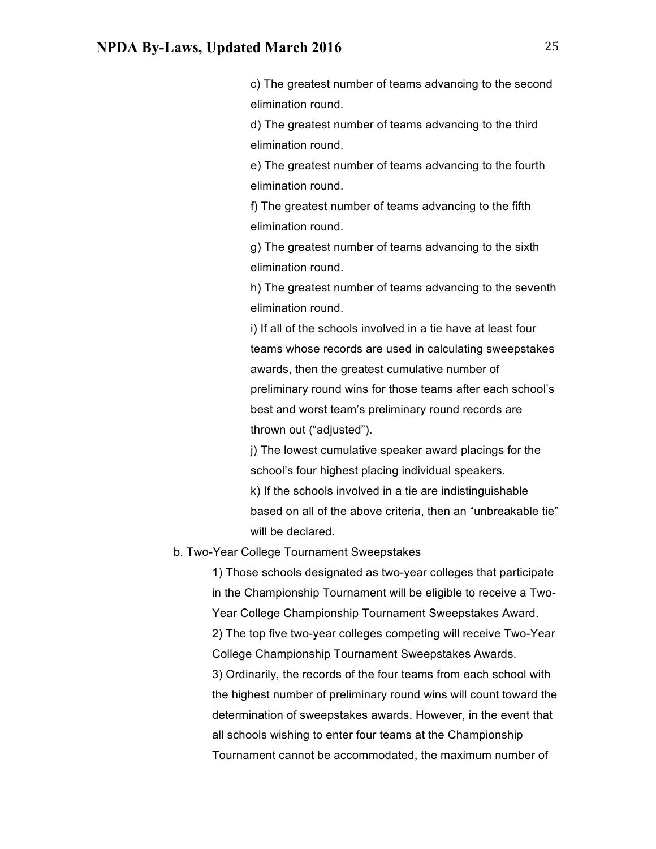c) The greatest number of teams advancing to the second elimination round.

d) The greatest number of teams advancing to the third elimination round.

e) The greatest number of teams advancing to the fourth elimination round.

f) The greatest number of teams advancing to the fifth elimination round.

g) The greatest number of teams advancing to the sixth elimination round.

h) The greatest number of teams advancing to the seventh elimination round.

i) If all of the schools involved in a tie have at least four teams whose records are used in calculating sweepstakes awards, then the greatest cumulative number of preliminary round wins for those teams after each school's best and worst team's preliminary round records are thrown out ("adjusted").

j) The lowest cumulative speaker award placings for the school's four highest placing individual speakers. k) If the schools involved in a tie are indistinguishable based on all of the above criteria, then an "unbreakable tie" will be declared.

#### b. Two-Year College Tournament Sweepstakes

1) Those schools designated as two-year colleges that participate in the Championship Tournament will be eligible to receive a Two-Year College Championship Tournament Sweepstakes Award. 2) The top five two-year colleges competing will receive Two-Year College Championship Tournament Sweepstakes Awards. 3) Ordinarily, the records of the four teams from each school with the highest number of preliminary round wins will count toward the determination of sweepstakes awards. However, in the event that all schools wishing to enter four teams at the Championship Tournament cannot be accommodated, the maximum number of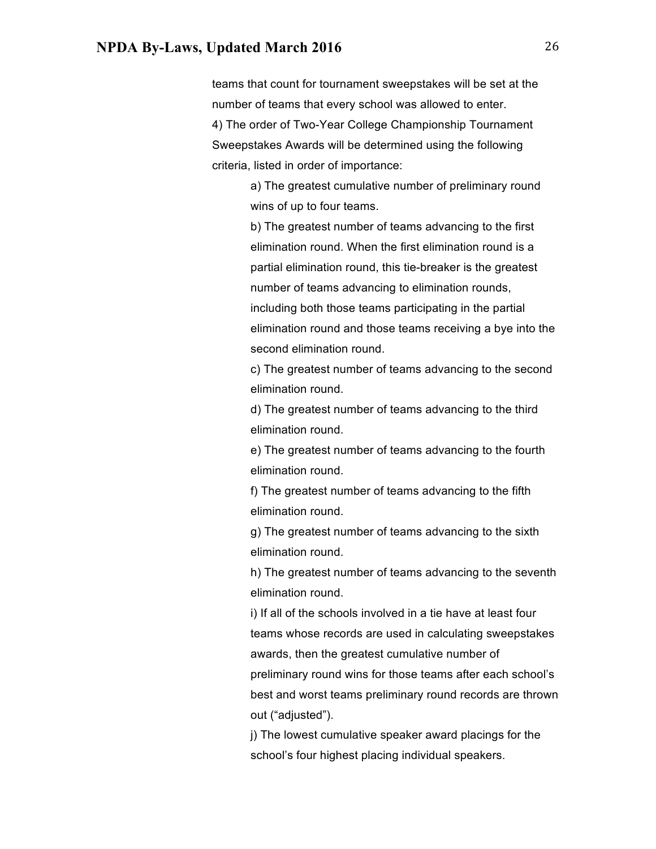teams that count for tournament sweepstakes will be set at the number of teams that every school was allowed to enter. 4) The order of Two-Year College Championship Tournament Sweepstakes Awards will be determined using the following criteria, listed in order of importance:

> a) The greatest cumulative number of preliminary round wins of up to four teams.

b) The greatest number of teams advancing to the first elimination round. When the first elimination round is a partial elimination round, this tie-breaker is the greatest number of teams advancing to elimination rounds, including both those teams participating in the partial elimination round and those teams receiving a bye into the second elimination round.

c) The greatest number of teams advancing to the second elimination round.

d) The greatest number of teams advancing to the third elimination round.

e) The greatest number of teams advancing to the fourth elimination round.

f) The greatest number of teams advancing to the fifth elimination round.

g) The greatest number of teams advancing to the sixth elimination round.

h) The greatest number of teams advancing to the seventh elimination round.

i) If all of the schools involved in a tie have at least four teams whose records are used in calculating sweepstakes awards, then the greatest cumulative number of preliminary round wins for those teams after each school's best and worst teams preliminary round records are thrown out ("adjusted").

j) The lowest cumulative speaker award placings for the school's four highest placing individual speakers.